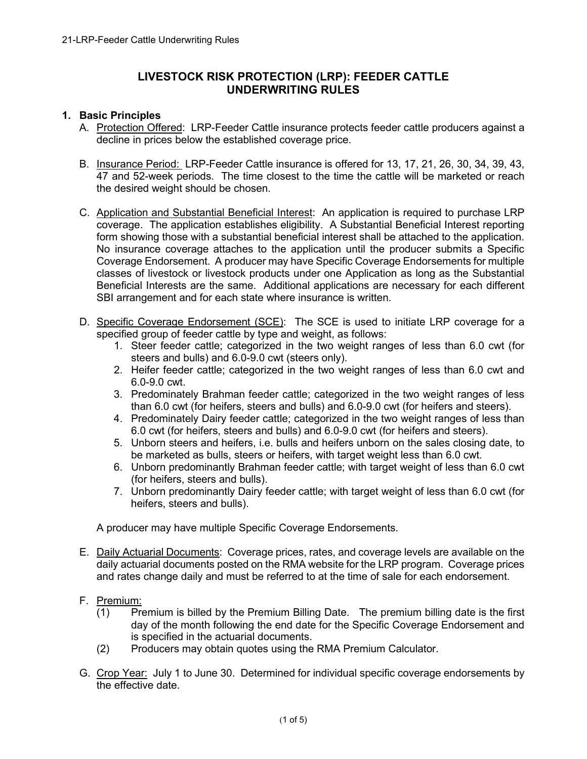# **LIVESTOCK RISK PROTECTION (LRP): FEEDER CATTLE UNDERWRITING RULES**

#### **1. Basic Principles**

- A. Protection Offered: LRP-Feeder Cattle insurance protects feeder cattle producers against a decline in prices below the established coverage price.
- B. Insurance Period: LRP-Feeder Cattle insurance is offered for 13, 17, 21, 26, 30, 34, 39, 43, 47 and 52-week periods. The time closest to the time the cattle will be marketed or reach the desired weight should be chosen.
- C. Application and Substantial Beneficial Interest: An application is required to purchase LRP coverage. The application establishes eligibility. A Substantial Beneficial Interest reporting form showing those with a substantial beneficial interest shall be attached to the application. No insurance coverage attaches to the application until the producer submits a Specific Coverage Endorsement. A producer may have Specific Coverage Endorsements for multiple classes of livestock or livestock products under one Application as long as the Substantial Beneficial Interests are the same. Additional applications are necessary for each different SBI arrangement and for each state where insurance is written.
- D. Specific Coverage Endorsement (SCE): The SCE is used to initiate LRP coverage for a specified group of feeder cattle by type and weight, as follows:
	- 1. Steer feeder cattle; categorized in the two weight ranges of less than 6.0 cwt (for steers and bulls) and 6.0-9.0 cwt (steers only).
	- 2. Heifer feeder cattle; categorized in the two weight ranges of less than 6.0 cwt and 6.0-9.0 cwt.
	- 3. Predominately Brahman feeder cattle; categorized in the two weight ranges of less than 6.0 cwt (for heifers, steers and bulls) and 6.0-9.0 cwt (for heifers and steers).
	- 4. Predominately Dairy feeder cattle; categorized in the two weight ranges of less than 6.0 cwt (for heifers, steers and bulls) and 6.0-9.0 cwt (for heifers and steers).
	- 5. Unborn steers and heifers, i.e. bulls and heifers unborn on the sales closing date, to be marketed as bulls, steers or heifers, with target weight less than 6.0 cwt.
	- 6. Unborn predominantly Brahman feeder cattle; with target weight of less than 6.0 cwt (for heifers, steers and bulls).
	- 7. Unborn predominantly Dairy feeder cattle; with target weight of less than 6.0 cwt (for heifers, steers and bulls).

A producer may have multiple Specific Coverage Endorsements.

- E. Daily Actuarial Documents: Coverage prices, rates, and coverage levels are available on the daily actuarial documents posted on the RMA website for the LRP program. Coverage prices and rates change daily and must be referred to at the time of sale for each endorsement.
- F. Premium:
	- $(1)$  Premium is billed by the Premium Billing Date. The premium billing date is the first day of the month following the end date for the Specific Coverage Endorsement and is specified in the actuarial documents.
	- (2) Producers may obtain quotes using the RMA Premium Calculator.
- G. Crop Year: July 1 to June 30. Determined for individual specific coverage endorsements by the effective date.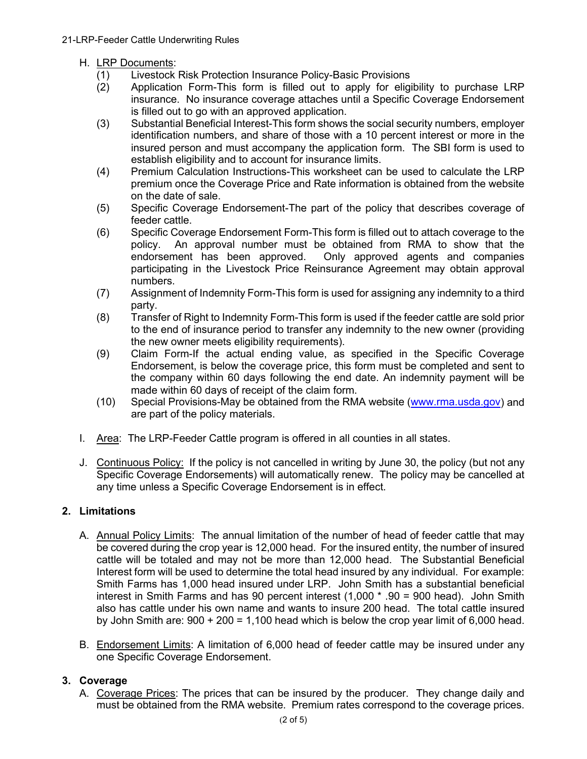### H. LRP Documents:

- (1) Livestock Risk Protection Insurance Policy-Basic Provisions
- (2) Application Form-This form is filled out to apply for eligibility to purchase LRP insurance. No insurance coverage attaches until a Specific Coverage Endorsement is filled out to go with an approved application.
- (3) Substantial Beneficial Interest-This form shows the social security numbers, employer identification numbers, and share of those with a 10 percent interest or more in the insured person and must accompany the application form. The SBI form is used to establish eligibility and to account for insurance limits.
- (4) Premium Calculation Instructions-This worksheet can be used to calculate the LRP premium once the Coverage Price and Rate information is obtained from the website on the date of sale.
- (5) Specific Coverage Endorsement-The part of the policy that describes coverage of feeder cattle.
- (6) Specific Coverage Endorsement Form-This form is filled out to attach coverage to the policy. An approval number must be obtained from RMA to show that the endorsement has been approved. Only approved agents and companies participating in the Livestock Price Reinsurance Agreement may obtain approval numbers.
- (7) Assignment of Indemnity Form-This form is used for assigning any indemnity to a third party.
- (8) Transfer of Right to Indemnity Form-This form is used if the feeder cattle are sold prior to the end of insurance period to transfer any indemnity to the new owner (providing the new owner meets eligibility requirements).
- (9) Claim Form-If the actual ending value, as specified in the Specific Coverage Endorsement, is below the coverage price, this form must be completed and sent to the company within 60 days following the end date. An indemnity payment will be made within 60 days of receipt of the claim form.
- (10) Special Provisions-May be obtained from the RMA website [\(www.rma.usda.gov\)](https://www.rma.usda.gov/) and are part of the policy materials.
- I. Area: The LRP-Feeder Cattle program is offered in all counties in all states.
- J. Continuous Policy: If the policy is not cancelled in writing by June 30, the policy (but not any Specific Coverage Endorsements) will automatically renew. The policy may be cancelled at any time unless a Specific Coverage Endorsement is in effect.

### **2. Limitations**

- A. Annual Policy Limits: The annual limitation of the number of head of feeder cattle that may be covered during the crop year is 12,000 head. For the insured entity, the number of insured cattle will be totaled and may not be more than 12,000 head. The Substantial Beneficial Interest form will be used to determine the total head insured by any individual. For example: Smith Farms has 1,000 head insured under LRP. John Smith has a substantial beneficial interest in Smith Farms and has 90 percent interest (1,000 \* .90 = 900 head). John Smith also has cattle under his own name and wants to insure 200 head. The total cattle insured by John Smith are:  $900 + 200 = 1,100$  head which is below the crop year limit of 6,000 head.
- B. Endorsement Limits: A limitation of 6,000 head of feeder cattle may be insured under any one Specific Coverage Endorsement.

### **3. Coverage**

A. Coverage Prices: The prices that can be insured by the producer. They change daily and must be obtained from the RMA website. Premium rates correspond to the coverage prices.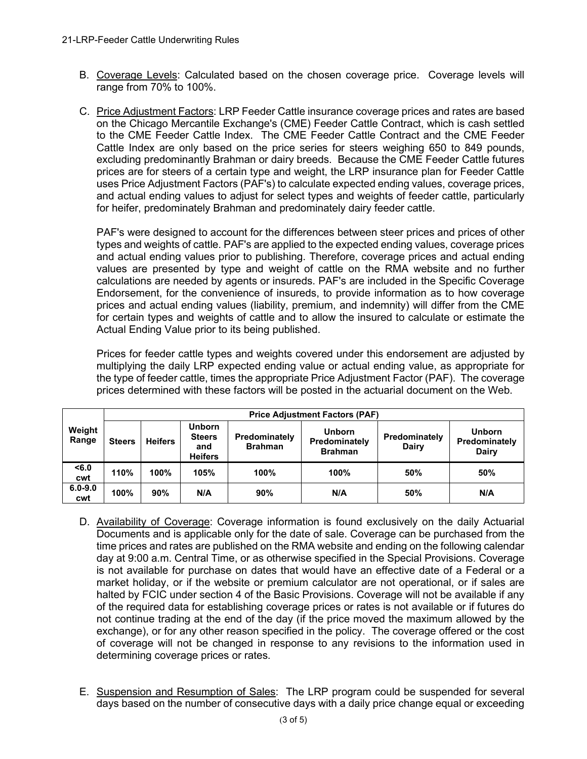- B. Coverage Levels: Calculated based on the chosen coverage price. Coverage levels will range from 70% to 100%.
- C. Price Adjustment Factors: LRP Feeder Cattle insurance coverage prices and rates are based on the Chicago Mercantile Exchange's (CME) Feeder Cattle Contract, which is cash settled to the CME Feeder Cattle Index. The CME Feeder Cattle Contract and the CME Feeder Cattle Index are only based on the price series for steers weighing 650 to 849 pounds, excluding predominantly Brahman or dairy breeds. Because the CME Feeder Cattle futures prices are for steers of a certain type and weight, the LRP insurance plan for Feeder Cattle uses Price Adjustment Factors (PAF's) to calculate expected ending values, coverage prices, and actual ending values to adjust for select types and weights of feeder cattle, particularly for heifer, predominately Brahman and predominately dairy feeder cattle.

PAF's were designed to account for the differences between steer prices and prices of other types and weights of cattle. PAF's are applied to the expected ending values, coverage prices and actual ending values prior to publishing. Therefore, coverage prices and actual ending values are presented by type and weight of cattle on the RMA website and no further calculations are needed by agents or insureds. PAF's are included in the Specific Coverage Endorsement, for the convenience of insureds, to provide information as to how coverage prices and actual ending values (liability, premium, and indemnity) will differ from the CME for certain types and weights of cattle and to allow the insured to calculate or estimate the Actual Ending Value prior to its being published.

Prices for feeder cattle types and weights covered under this endorsement are adjusted by multiplying the daily LRP expected ending value or actual ending value, as appropriate for the type of feeder cattle, times the appropriate Price Adjustment Factor (PAF). The coverage prices determined with these factors will be posted in the actuarial document on the Web.

| Weight<br>Range    | <b>Price Adjustment Factors (PAF)</b> |                |                                                         |                                 |                                                  |                        |                                         |
|--------------------|---------------------------------------|----------------|---------------------------------------------------------|---------------------------------|--------------------------------------------------|------------------------|-----------------------------------------|
|                    | <b>Steers</b>                         | <b>Heifers</b> | <b>Unborn</b><br><b>Steers</b><br>and<br><b>Heifers</b> | Predominately<br><b>Brahman</b> | <b>Unborn</b><br>Predominately<br><b>Brahman</b> | Predominately<br>Dairy | <b>Unborn</b><br>Predominately<br>Dairy |
| < 6.0<br>cwt       | 110%                                  | 100%           | 105%                                                    | 100%                            | 100%                                             | 50%                    | 50%                                     |
| $6.0 - 9.0$<br>cwt | 100%                                  | 90%            | N/A                                                     | 90%                             | N/A                                              | 50%                    | N/A                                     |

- D. Availability of Coverage: Coverage information is found exclusively on the daily Actuarial Documents and is applicable only for the date of sale. Coverage can be purchased from the time prices and rates are published on the RMA website and ending on the following calendar day at 9:00 a.m. Central Time, or as otherwise specified in the Special Provisions. Coverage is not available for purchase on dates that would have an effective date of a Federal or a market holiday, or if the website or premium calculator are not operational, or if sales are halted by FCIC under section 4 of the Basic Provisions. Coverage will not be available if any of the required data for establishing coverage prices or rates is not available or if futures do not continue trading at the end of the day (if the price moved the maximum allowed by the exchange), or for any other reason specified in the policy. The coverage offered or the cost of coverage will not be changed in response to any revisions to the information used in determining coverage prices or rates.
- E. Suspension and Resumption of Sales: The LRP program could be suspended for several days based on the number of consecutive days with a daily price change equal or exceeding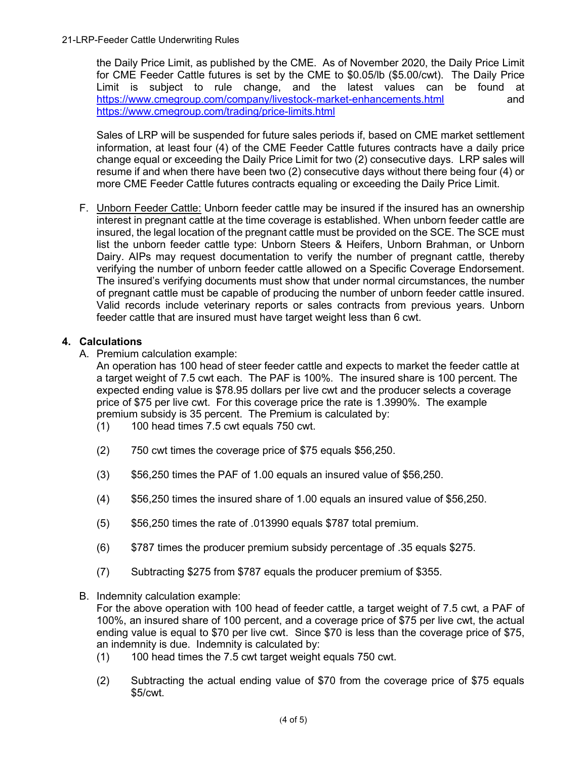the Daily Price Limit, as published by the CME. As of November 2020, the Daily Price Limit for CME Feeder Cattle futures is set by the CME to \$0.05/lb (\$5.00/cwt). The Daily Price Limit is subject to rule change, and the latest values can be found at <https://www.cmegroup.com/company/livestock-market-enhancements.html> and <https://www.cmegroup.com/trading/price-limits.html>

Sales of LRP will be suspended for future sales periods if, based on CME market settlement information, at least four (4) of the CME Feeder Cattle futures contracts have a daily price change equal or exceeding the Daily Price Limit for two (2) consecutive days. LRP sales will resume if and when there have been two (2) consecutive days without there being four (4) or more CME Feeder Cattle futures contracts equaling or exceeding the Daily Price Limit.

F. Unborn Feeder Cattle: Unborn feeder cattle may be insured if the insured has an ownership interest in pregnant cattle at the time coverage is established. When unborn feeder cattle are insured, the legal location of the pregnant cattle must be provided on the SCE. The SCE must list the unborn feeder cattle type: Unborn Steers & Heifers, Unborn Brahman, or Unborn Dairy. AIPs may request documentation to verify the number of pregnant cattle, thereby verifying the number of unborn feeder cattle allowed on a Specific Coverage Endorsement. The insured's verifying documents must show that under normal circumstances, the number of pregnant cattle must be capable of producing the number of unborn feeder cattle insured. Valid records include veterinary reports or sales contracts from previous years. Unborn feeder cattle that are insured must have target weight less than 6 cwt.

## **4. Calculations**

A. Premium calculation example:

An operation has 100 head of steer feeder cattle and expects to market the feeder cattle at a target weight of 7.5 cwt each. The PAF is 100%. The insured share is 100 percent. The expected ending value is \$78.95 dollars per live cwt and the producer selects a coverage price of \$75 per live cwt. For this coverage price the rate is 1.3990%. The example premium subsidy is 35 percent. The Premium is calculated by:

- (1) 100 head times 7.5 cwt equals 750 cwt.
- (2) 750 cwt times the coverage price of \$75 equals \$56,250.
- (3) \$56,250 times the PAF of 1.00 equals an insured value of \$56,250.
- (4) \$56,250 times the insured share of 1.00 equals an insured value of \$56,250.
- (5) \$56,250 times the rate of .013990 equals \$787 total premium.
- (6) \$787 times the producer premium subsidy percentage of .35 equals \$275.
- (7) Subtracting \$275 from \$787 equals the producer premium of \$355.
- B. Indemnity calculation example:

For the above operation with 100 head of feeder cattle, a target weight of 7.5 cwt, a PAF of 100%, an insured share of 100 percent, and a coverage price of \$75 per live cwt, the actual ending value is equal to \$70 per live cwt. Since \$70 is less than the coverage price of \$75, an indemnity is due. Indemnity is calculated by:

- (1) 100 head times the 7.5 cwt target weight equals 750 cwt.
- (2) Subtracting the actual ending value of \$70 from the coverage price of \$75 equals \$5/cwt.